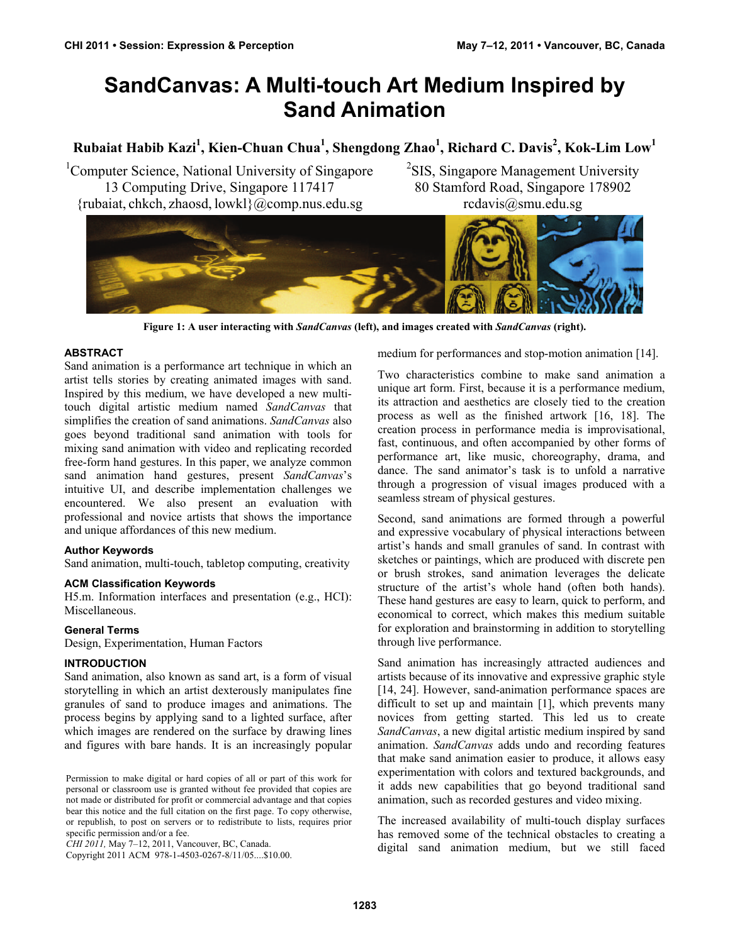# **SandCanvas: A Multi-touch Art Medium Inspired by Sand Animation**

## **Rubaiat Habib Kazi<sup>1</sup> , Kien-Chuan Chua<sup>1</sup> , Shengdong Zhao<sup>1</sup> , Richard C. Davis<sup>2</sup> , Kok-Lim Low1**

<sup>1</sup>Computer Science, National University of Singapore 13 Computing Drive, Singapore 117417 {rubaiat, chkch, zhaosd, lowkl}@comp.nus.edu.sg

<sup>2</sup>SIS, Singapore Management University 80 Stamford Road, Singapore 178902 rcdavis@smu.edu.sg



**Figure 1: A user interacting with** *SandCanvas* **(left), and images created with** *SandCanvas* **(right).** 

#### **ABSTRACT**

Sand animation is a performance art technique in which an artist tells stories by creating animated images with sand. Inspired by this medium, we have developed a new multitouch digital artistic medium named *SandCanvas* that simplifies the creation of sand animations. *SandCanvas* also goes beyond traditional sand animation with tools for mixing sand animation with video and replicating recorded free-form hand gestures. In this paper, we analyze common sand animation hand gestures, present *SandCanvas*'s intuitive UI, and describe implementation challenges we encountered. We also present an evaluation with professional and novice artists that shows the importance and unique affordances of this new medium.

#### **Author Keywords**

Sand animation, multi-touch, tabletop computing, creativity

#### **ACM Classification Keywords**

H5.m. Information interfaces and presentation (e.g., HCI): Miscellaneous.

#### **General Terms**

Design, Experimentation, Human Factors

#### **INTRODUCTION**

Sand animation, also known as sand art, is a form of visual storytelling in which an artist dexterously manipulates fine granules of sand to produce images and animations. The process begins by applying sand to a lighted surface, after which images are rendered on the surface by drawing lines and figures with bare hands. It is an increasingly popular

Copyright 2011 ACM 978-1-4503-0267-8/11/05....\$10.00.

medium for performances and stop-motion animation [14].

Two characteristics combine to make sand animation a unique art form. First, because it is a performance medium, its attraction and aesthetics are closely tied to the creation process as well as the finished artwork [16, 18]. The creation process in performance media is improvisational, fast, continuous, and often accompanied by other forms of performance art, like music, choreography, drama, and dance. The sand animator's task is to unfold a narrative through a progression of visual images produced with a seamless stream of physical gestures.

Second, sand animations are formed through a powerful and expressive vocabulary of physical interactions between artist's hands and small granules of sand. In contrast with sketches or paintings, which are produced with discrete pen or brush strokes, sand animation leverages the delicate structure of the artist's whole hand (often both hands). These hand gestures are easy to learn, quick to perform, and economical to correct, which makes this medium suitable for exploration and brainstorming in addition to storytelling through live performance.

Sand animation has increasingly attracted audiences and artists because of its innovative and expressive graphic style [14, 24]. However, sand-animation performance spaces are difficult to set up and maintain [1], which prevents many novices from getting started. This led us to create *SandCanvas*, a new digital artistic medium inspired by sand animation. *SandCanvas* adds undo and recording features that make sand animation easier to produce, it allows easy experimentation with colors and textured backgrounds, and it adds new capabilities that go beyond traditional sand animation, such as recorded gestures and video mixing.

The increased availability of multi-touch display surfaces has removed some of the technical obstacles to creating a digital sand animation medium, but we still faced

Permission to make digital or hard copies of all or part of this work for personal or classroom use is granted without fee provided that copies are not made or distributed for profit or commercial advantage and that copies bear this notice and the full citation on the first page. To copy otherwise, or republish, to post on servers or to redistribute to lists, requires prior specific permission and/or a fee.

*CHI 2011,* May 7–12, 2011, Vancouver, BC, Canada.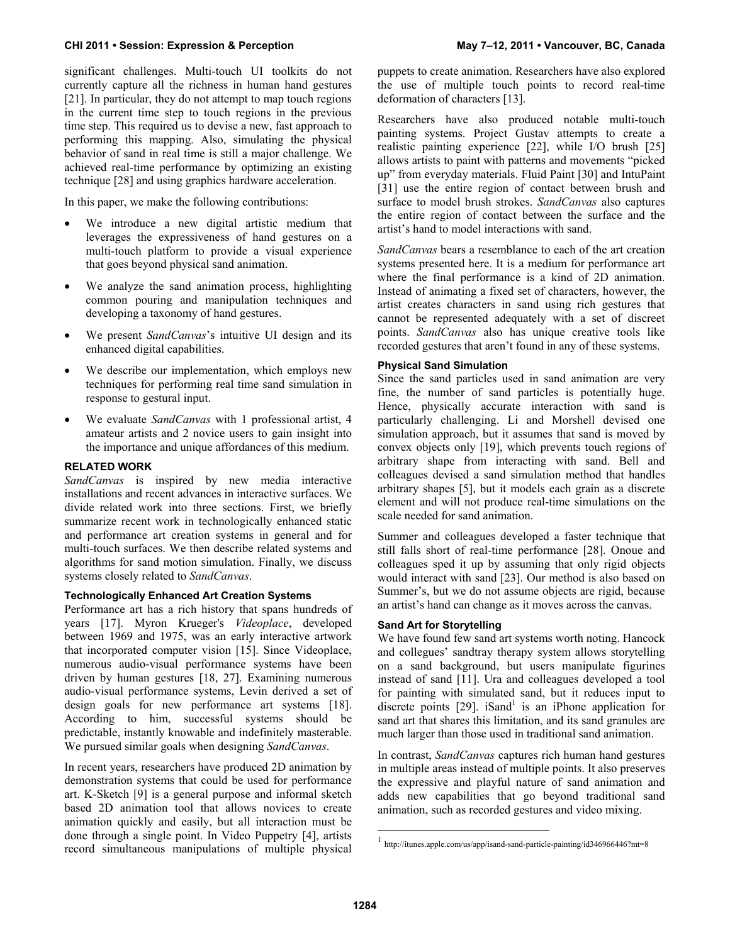significant challenges. Multi-touch UI toolkits do not currently capture all the richness in human hand gestures [21]. In particular, they do not attempt to map touch regions in the current time step to touch regions in the previous time step. This required us to devise a new, fast approach to performing this mapping. Also, simulating the physical behavior of sand in real time is still a major challenge. We achieved real-time performance by optimizing an existing technique [28] and using graphics hardware acceleration.

In this paper, we make the following contributions:

- We introduce a new digital artistic medium that leverages the expressiveness of hand gestures on a multi-touch platform to provide a visual experience that goes beyond physical sand animation.
- We analyze the sand animation process, highlighting common pouring and manipulation techniques and developing a taxonomy of hand gestures.
- We present *SandCanvas*'s intuitive UI design and its enhanced digital capabilities.
- We describe our implementation, which employs new techniques for performing real time sand simulation in response to gestural input.
- We evaluate *SandCanvas* with 1 professional artist, 4 amateur artists and 2 novice users to gain insight into the importance and unique affordances of this medium.

#### **RELATED WORK**

*SandCanvas* is inspired by new media interactive installations and recent advances in interactive surfaces. We divide related work into three sections. First, we briefly summarize recent work in technologically enhanced static and performance art creation systems in general and for multi-touch surfaces. We then describe related systems and algorithms for sand motion simulation. Finally, we discuss systems closely related to *SandCanvas*.

### **Technologically Enhanced Art Creation Systems**

Performance art has a rich history that spans hundreds of years [17]. Myron Krueger's *Videoplace*, developed between 1969 and 1975, was an early interactive artwork that incorporated computer vision [15]. Since Videoplace, numerous audio-visual performance systems have been driven by human gestures [18, 27]. Examining numerous audio-visual performance systems, Levin derived a set of design goals for new performance art systems [18]. According to him, successful systems should be predictable, instantly knowable and indefinitely masterable. We pursued similar goals when designing *SandCanvas*.

In recent years, researchers have produced 2D animation by demonstration systems that could be used for performance art. K-Sketch [9] is a general purpose and informal sketch based 2D animation tool that allows novices to create animation quickly and easily, but all interaction must be done through a single point. In Video Puppetry [4], artists record simultaneous manipulations of multiple physical

puppets to create animation. Researchers have also explored the use of multiple touch points to record real-time deformation of characters [13].

Researchers have also produced notable multi-touch painting systems. Project Gustav attempts to create a realistic painting experience [22], while I/O brush [25] allows artists to paint with patterns and movements "picked up" from everyday materials. Fluid Paint [30] and IntuPaint [31] use the entire region of contact between brush and surface to model brush strokes. *SandCanvas* also captures the entire region of contact between the surface and the artist's hand to model interactions with sand.

*SandCanvas* bears a resemblance to each of the art creation systems presented here. It is a medium for performance art where the final performance is a kind of 2D animation. Instead of animating a fixed set of characters, however, the artist creates characters in sand using rich gestures that cannot be represented adequately with a set of discreet points. *SandCanvas* also has unique creative tools like recorded gestures that aren't found in any of these systems.

#### **Physical Sand Simulation**

Since the sand particles used in sand animation are very fine, the number of sand particles is potentially huge. Hence, physically accurate interaction with sand is particularly challenging. Li and Morshell devised one simulation approach, but it assumes that sand is moved by convex objects only [19], which prevents touch regions of arbitrary shape from interacting with sand. Bell and colleagues devised a sand simulation method that handles arbitrary shapes [5], but it models each grain as a discrete element and will not produce real-time simulations on the scale needed for sand animation.

Summer and colleagues developed a faster technique that still falls short of real-time performance [28]. Onoue and colleagues sped it up by assuming that only rigid objects would interact with sand [23]. Our method is also based on Summer's, but we do not assume objects are rigid, because an artist's hand can change as it moves across the canvas.

#### **Sand Art for Storytelling**

We have found few sand art systems worth noting. Hancock and collegues' sandtray therapy system allows storytelling on a sand background, but users manipulate figurines instead of sand [11]. Ura and colleagues developed a tool for painting with simulated sand, but it reduces input to discrete points  $[29]$ . iSand<sup>1</sup> is an iPhone application for sand art that shares this limitation, and its sand granules are much larger than those used in traditional sand animation.

In contrast, *SandCanvas* captures rich human hand gestures in multiple areas instead of multiple points. It also preserves the expressive and playful nature of sand animation and adds new capabilities that go beyond traditional sand animation, such as recorded gestures and video mixing.

l

<sup>1</sup> http://itunes.apple.com/us/app/isand-sand-particle-painting/id346966446?mt=8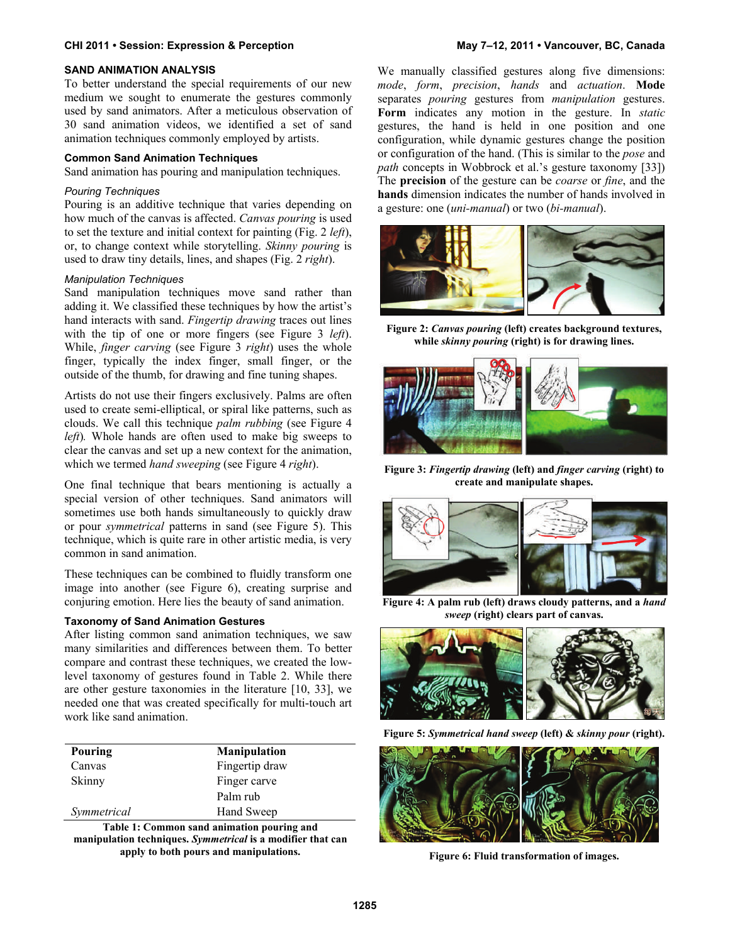#### **SAND ANIMATION ANALYSIS**

To better understand the special requirements of our new medium we sought to enumerate the gestures commonly used by sand animators. After a meticulous observation of 30 sand animation videos, we identified a set of sand animation techniques commonly employed by artists.

#### **Common Sand Animation Techniques**

Sand animation has pouring and manipulation techniques.

#### *Pouring Techniques*

Pouring is an additive technique that varies depending on how much of the canvas is affected. *Canvas pouring* is used to set the texture and initial context for painting (Fig. 2 *left*), or, to change context while storytelling. *Skinny pouring* is used to draw tiny details, lines, and shapes (Fig. 2 *right*).

#### *Manipulation Techniques*

Sand manipulation techniques move sand rather than adding it. We classified these techniques by how the artist's hand interacts with sand. *Fingertip drawing* traces out lines with the tip of one or more fingers (see Figure 3 *left*). While, *finger carving* (see Figure 3 *right*) uses the whole finger, typically the index finger, small finger, or the outside of the thumb, for drawing and fine tuning shapes.

Artists do not use their fingers exclusively. Palms are often used to create semi-elliptical, or spiral like patterns, such as clouds. We call this technique *palm rubbing* (see Figure 4 *left*)*.* Whole hands are often used to make big sweeps to clear the canvas and set up a new context for the animation, which we termed *hand sweeping* (see Figure 4 *right*).

One final technique that bears mentioning is actually a special version of other techniques. Sand animators will sometimes use both hands simultaneously to quickly draw or pour *symmetrical* patterns in sand (see Figure 5). This technique, which is quite rare in other artistic media, is very common in sand animation.

These techniques can be combined to fluidly transform one image into another (see Figure 6), creating surprise and conjuring emotion. Here lies the beauty of sand animation.

#### **Taxonomy of Sand Animation Gestures**

After listing common sand animation techniques, we saw many similarities and differences between them. To better compare and contrast these techniques, we created the lowlevel taxonomy of gestures found in Table 2. While there are other gesture taxonomies in the literature [10, 33], we needed one that was created specifically for multi-touch art work like sand animation.

| Pouring     | <b>Manipulation</b> |  |  |  |
|-------------|---------------------|--|--|--|
| Canvas      | Fingertip draw      |  |  |  |
| Skinny      | Finger carve        |  |  |  |
|             | Palm rub            |  |  |  |
| Symmetrical | Hand Sweep          |  |  |  |

**Table 1: Common sand animation pouring and manipulation techniques.** *Symmetrical* **is a modifier that can apply to both pours and manipulations.** 

We manually classified gestures along five dimensions: *mode*, *form*, *precision*, *hands* and *actuation*. **Mode** separates *pouring* gestures from *manipulation* gestures. **Form** indicates any motion in the gesture. In *static* gestures, the hand is held in one position and one configuration, while dynamic gestures change the position or configuration of the hand. (This is similar to the *pose* and *path* concepts in Wobbrock et al.'s gesture taxonomy [33]) The **precision** of the gesture can be *coarse* or *fine*, and the **hands** dimension indicates the number of hands involved in a gesture: one (*uni-manual*) or two (*bi-manual*).



**Figure 2:** *Canvas pouring* **(left) creates background textures, while** *skinny pouring* **(right) is for drawing lines.** 



**Figure 3:** *Fingertip drawing* **(left) and** *finger carving* **(right) to create and manipulate shapes.** 



**Figure 4: A palm rub (left) draws cloudy patterns, and a** *hand sweep* **(right) clears part of canvas.** 



**Figure 5:** *Symmetrical hand sweep* **(left) &** *skinny pour* **(right).** 



**Figure 6: Fluid transformation of images.**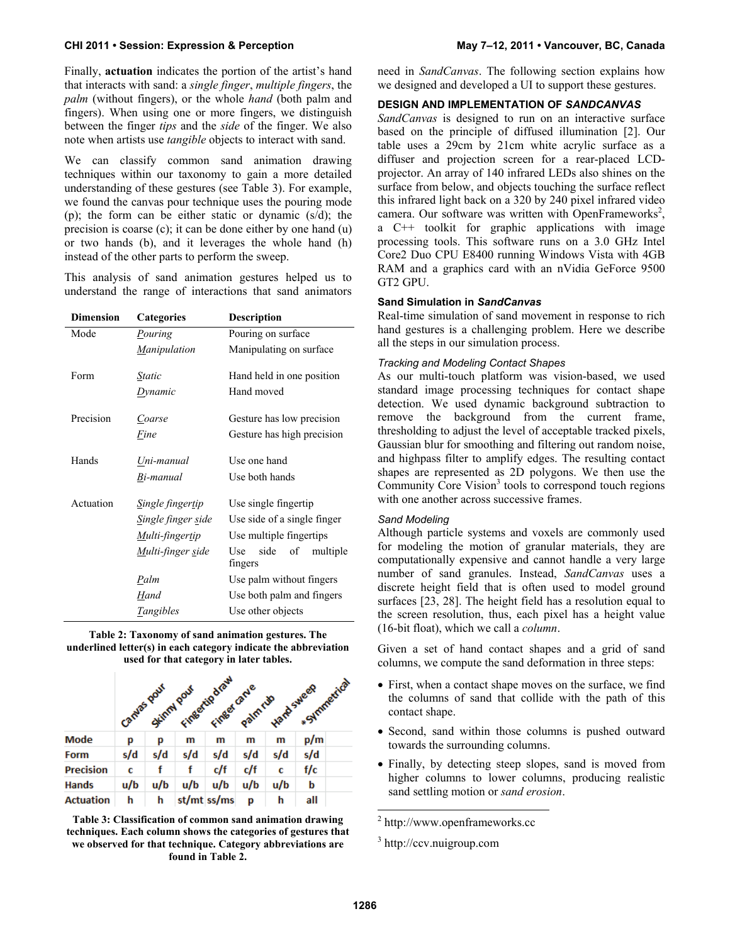Finally, **actuation** indicates the portion of the artist's hand that interacts with sand: a *single finger*, *multiple fingers*, the *palm* (without fingers), or the whole *hand* (both palm and fingers). When using one or more fingers, we distinguish between the finger *tips* and the *side* of the finger. We also note when artists use *tangible* objects to interact with sand.

We can classify common sand animation drawing techniques within our taxonomy to gain a more detailed understanding of these gestures (see Table 3). For example, we found the canvas pour technique uses the pouring mode (p); the form can be either static or dynamic (s/d); the precision is coarse (c); it can be done either by one hand (u) or two hands (b), and it leverages the whole hand (h) instead of the other parts to perform the sweep.

This analysis of sand animation gestures helped us to understand the range of interactions that sand animators

| <b>Dimension</b> | Categories          | <b>Description</b>            |  |  |  |  |
|------------------|---------------------|-------------------------------|--|--|--|--|
| Mode             | Pouring             | Pouring on surface            |  |  |  |  |
|                  | <b>Manipulation</b> | Manipulating on surface       |  |  |  |  |
|                  |                     |                               |  |  |  |  |
| Form             | Static              | Hand held in one position     |  |  |  |  |
|                  | Dynamic             | Hand moved                    |  |  |  |  |
| Precision        | Coarse              | Gesture has low precision     |  |  |  |  |
|                  | Fine                | Gesture has high precision    |  |  |  |  |
|                  |                     |                               |  |  |  |  |
| Hands            | Uni-manual          | Use one hand                  |  |  |  |  |
|                  | Bi-manual           | Use both hands                |  |  |  |  |
| Actuation        | Single fingertip    | Use single fingertip          |  |  |  |  |
|                  |                     |                               |  |  |  |  |
|                  | Single finger side  | Use side of a single finger   |  |  |  |  |
|                  | Multi-fingertip     | Use multiple fingertips       |  |  |  |  |
|                  | Multi-finger side   | side<br>Use<br>of<br>multiple |  |  |  |  |
|                  |                     | fingers                       |  |  |  |  |
|                  | Palm                | Use palm without fingers      |  |  |  |  |
|                  | Hand                | Use both palm and fingers     |  |  |  |  |
|                  | <i>Tangibles</i>    | Use other objects             |  |  |  |  |

**Table 2: Taxonomy of sand animation gestures. The underlined letter(s) in each category indicate the abbreviation used for that category in later tables.** 

|                  |             |     |            | *Symmetrical                   |         |                   |     |  |
|------------------|-------------|-----|------------|--------------------------------|---------|-------------------|-----|--|
|                  | Canyas pour |     | Skimm pour | Fingertip draw<br>Finger carve | Palmrup | <b>Hard</b> sweep |     |  |
| Mode             | р           | р   | m          | m                              | m       | m                 | p/m |  |
| <b>Form</b>      | s/d         | s/d | s/d        | s/d                            | s/d     | s/d               | s/d |  |
| <b>Precision</b> | с           |     |            | c/f                            | c/f     | c                 | f/c |  |
| <b>Hands</b>     | u/b         | u/b | u/b        | u/b                            | u/b     | u/b               | b   |  |
| <b>Actuation</b> | h           | h   |            | st/mt ss/ms                    | р       | h                 | all |  |

**Table 3: Classification of common sand animation drawing techniques. Each column shows the categories of gestures that we observed for that technique. Category abbreviations are found in Table 2.** 

need in *SandCanvas*. The following section explains how we designed and developed a UI to support these gestures.

#### **DESIGN AND IMPLEMENTATION OF** *SANDCANVAS*

*SandCanvas* is designed to run on an interactive surface based on the principle of diffused illumination [2]. Our table uses a 29cm by 21cm white acrylic surface as a diffuser and projection screen for a rear-placed LCDprojector. An array of 140 infrared LEDs also shines on the surface from below, and objects touching the surface reflect this infrared light back on a 320 by 240 pixel infrared video camera. Our software was written with OpenFrameworks<sup>2</sup>, a C++ toolkit for graphic applications with image processing tools. This software runs on a 3.0 GHz Intel Core2 Duo CPU E8400 running Windows Vista with 4GB RAM and a graphics card with an nVidia GeForce 9500 GT2 GPU.

#### **Sand Simulation in** *SandCanvas*

Real-time simulation of sand movement in response to rich hand gestures is a challenging problem. Here we describe all the steps in our simulation process.

#### *Tracking and Modeling Contact Shapes*

As our multi-touch platform was vision-based, we used standard image processing techniques for contact shape detection. We used dynamic background subtraction to remove the background from the current frame, thresholding to adjust the level of acceptable tracked pixels, Gaussian blur for smoothing and filtering out random noise, and highpass filter to amplify edges. The resulting contact shapes are represented as 2D polygons. We then use the Community Core Vision<sup>3</sup> tools to correspond touch regions with one another across successive frames.

#### *Sand Modeling*

Although particle systems and voxels are commonly used for modeling the motion of granular materials, they are computationally expensive and cannot handle a very large number of sand granules. Instead, *SandCanvas* uses a discrete height field that is often used to model ground surfaces [23, 28]. The height field has a resolution equal to the screen resolution, thus, each pixel has a height value (16-bit float), which we call a *column*.

Given a set of hand contact shapes and a grid of sand columns, we compute the sand deformation in three steps:

- First, when a contact shape moves on the surface, we find the columns of sand that collide with the path of this contact shape.
- Second, sand within those columns is pushed outward towards the surrounding columns.
- Finally, by detecting steep slopes, sand is moved from higher columns to lower columns, producing realistic sand settling motion or *sand erosion*.

2 http://www.openframeworks.cc

l

<sup>3</sup> http://ccv.nuigroup.com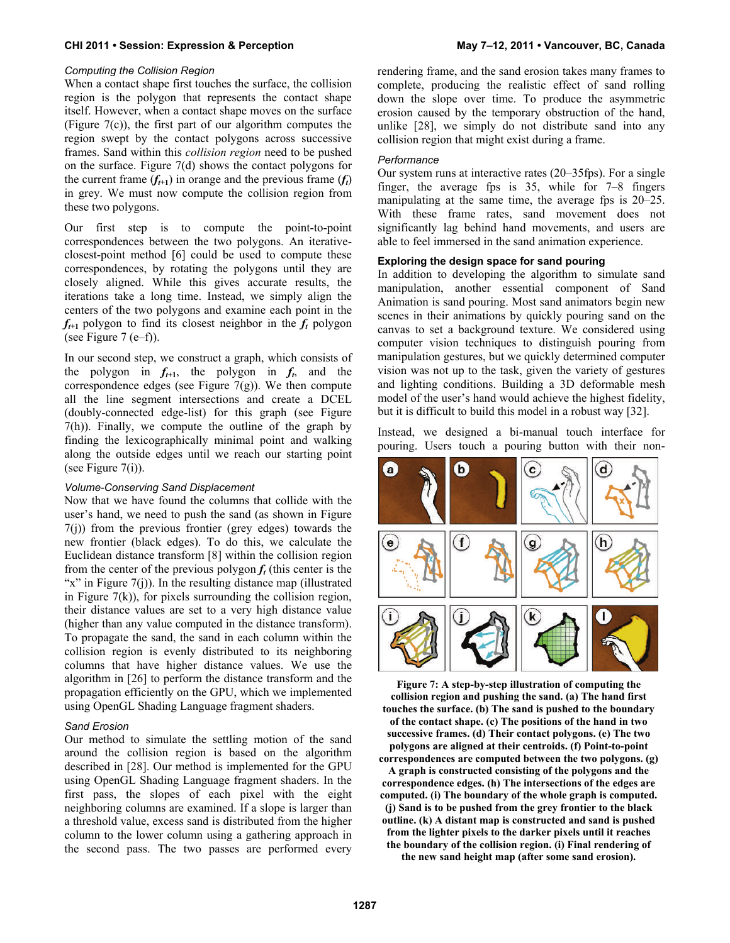#### *Computing the Collision Region*

When a contact shape first touches the surface, the collision region is the polygon that represents the contact shape itself. However, when a contact shape moves on the surface (Figure 7(c)), the first part of our algorithm computes the region swept by the contact polygons across successive frames. Sand within this *collision region* need to be pushed on the surface. Figure 7(d) shows the contact polygons for the current frame  $(f_{t+1})$  in orange and the previous frame  $(f_t)$ in grey. We must now compute the collision region from these two polygons.

Our first step is to compute the point-to-point correspondences between the two polygons. An iterativeclosest-point method [6] could be used to compute these correspondences, by rotating the polygons until they are closely aligned. While this gives accurate results, the iterations take a long time. Instead, we simply align the centers of the two polygons and examine each point in the  $f_{t+1}$  polygon to find its closest neighbor in the  $f_t$  polygon (see Figure 7 (e–f)).

In our second step, we construct a graph, which consists of the polygon in  $f_{t+1}$ , the polygon in  $f_t$ , and the correspondence edges (see Figure  $7(g)$ ). We then compute all the line segment intersections and create a DCEL (doubly-connected edge-list) for this graph (see Figure 7(h)). Finally, we compute the outline of the graph by finding the lexicographically minimal point and walking along the outside edges until we reach our starting point (see Figure  $7(i)$ ).

#### *Volume-Conserving Sand Displacement*

Now that we have found the columns that collide with the user's hand, we need to push the sand (as shown in Figure 7(j)) from the previous frontier (grey edges) towards the new frontier (black edges). To do this, we calculate the Euclidean distance transform [8] within the collision region from the center of the previous polygon  $f_t$  (this center is the " $x$ " in Figure 7(j)). In the resulting distance map (illustrated in Figure  $7(k)$ , for pixels surrounding the collision region, their distance values are set to a very high distance value (higher than any value computed in the distance transform). To propagate the sand, the sand in each column within the collision region is evenly distributed to its neighboring columns that have higher distance values. We use the algorithm in [26] to perform the distance transform and the propagation efficiently on the GPU, which we implemented using OpenGL Shading Language fragment shaders.

#### *Sand Erosion*

Our method to simulate the settling motion of the sand around the collision region is based on the algorithm described in [28]. Our method is implemented for the GPU using OpenGL Shading Language fragment shaders. In the first pass, the slopes of each pixel with the eight neighboring columns are examined. If a slope is larger than a threshold value, excess sand is distributed from the higher column to the lower column using a gathering approach in the second pass. The two passes are performed every rendering frame, and the sand erosion takes many frames to complete, producing the realistic effect of sand rolling down the slope over time. To produce the asymmetric erosion caused by the temporary obstruction of the hand, unlike [28], we simply do not distribute sand into any collision region that might exist during a frame.

#### *Performance*

Our system runs at interactive rates (20–35fps). For a single finger, the average fps is 35, while for 7–8 fingers manipulating at the same time, the average fps is 20–25. With these frame rates, sand movement does not significantly lag behind hand movements, and users are able to feel immersed in the sand animation experience.

#### **Exploring the design space for sand pouring**

In addition to developing the algorithm to simulate sand manipulation, another essential component of Sand Animation is sand pouring. Most sand animators begin new scenes in their animations by quickly pouring sand on the canvas to set a background texture. We considered using computer vision techniques to distinguish pouring from manipulation gestures, but we quickly determined computer vision was not up to the task, given the variety of gestures and lighting conditions. Building a 3D deformable mesh model of the user's hand would achieve the highest fidelity, but it is difficult to build this model in a robust way [32].

Instead, we designed a bi-manual touch interface for pouring. Users touch a pouring button with their non-



**Figure 7: A step-by-step illustration of computing the collision region and pushing the sand. (a) The hand first touches the surface. (b) The sand is pushed to the boundary of the contact shape. (c) The positions of the hand in two successive frames. (d) Their contact polygons. (e) The two polygons are aligned at their centroids. (f) Point-to-point correspondences are computed between the two polygons. (g) A graph is constructed consisting of the polygons and the correspondence edges. (h) The intersections of the edges are computed. (i) The boundary of the whole graph is computed. (j) Sand is to be pushed from the grey frontier to the black outline. (k) A distant map is constructed and sand is pushed from the lighter pixels to the darker pixels until it reaches the boundary of the collision region. (i) Final rendering of the new sand height map (after some sand erosion).**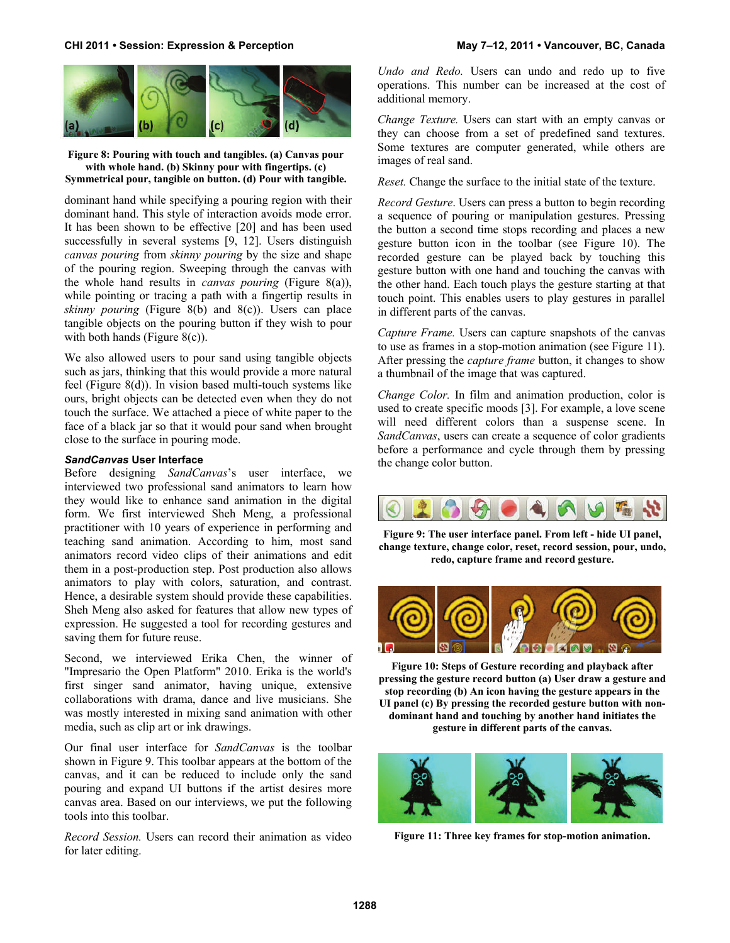

**Figure 8: Pouring with touch and tangibles. (a) Canvas pour with whole hand. (b) Skinny pour with fingertips. (c) Symmetrical pour, tangible on button. (d) Pour with tangible.** 

dominant hand while specifying a pouring region with their dominant hand. This style of interaction avoids mode error. It has been shown to be effective [20] and has been used successfully in several systems [9, 12]. Users distinguish *canvas pouring* from *skinny pouring* by the size and shape of the pouring region. Sweeping through the canvas with the whole hand results in *canvas pouring* (Figure 8(a)), while pointing or tracing a path with a fingertip results in *skinny pouring* (Figure 8(b) and 8(c)). Users can place tangible objects on the pouring button if they wish to pour with both hands (Figure 8(c)).

We also allowed users to pour sand using tangible objects such as jars, thinking that this would provide a more natural feel (Figure 8(d)). In vision based multi-touch systems like ours, bright objects can be detected even when they do not touch the surface. We attached a piece of white paper to the face of a black jar so that it would pour sand when brought close to the surface in pouring mode.

#### *SandCanvas* **User Interface**

Before designing *SandCanvas*'s user interface, we interviewed two professional sand animators to learn how they would like to enhance sand animation in the digital form. We first interviewed Sheh Meng, a professional practitioner with 10 years of experience in performing and teaching sand animation. According to him, most sand animators record video clips of their animations and edit them in a post-production step. Post production also allows animators to play with colors, saturation, and contrast. Hence, a desirable system should provide these capabilities. Sheh Meng also asked for features that allow new types of expression. He suggested a tool for recording gestures and saving them for future reuse.

Second, we interviewed Erika Chen, the winner of "Impresario the Open Platform" 2010. Erika is the world's first singer sand animator, having unique, extensive collaborations with drama, dance and live musicians. She was mostly interested in mixing sand animation with other media, such as clip art or ink drawings.

Our final user interface for *SandCanvas* is the toolbar shown in Figure 9. This toolbar appears at the bottom of the canvas, and it can be reduced to include only the sand pouring and expand UI buttons if the artist desires more canvas area. Based on our interviews, we put the following tools into this toolbar.

*Record Session.* Users can record their animation as video for later editing.

*Undo and Redo.* Users can undo and redo up to five operations. This number can be increased at the cost of additional memory.

*Change Texture.* Users can start with an empty canvas or they can choose from a set of predefined sand textures. Some textures are computer generated, while others are images of real sand.

*Reset.* Change the surface to the initial state of the texture.

*Record Gesture*. Users can press a button to begin recording a sequence of pouring or manipulation gestures. Pressing the button a second time stops recording and places a new gesture button icon in the toolbar (see Figure 10). The recorded gesture can be played back by touching this gesture button with one hand and touching the canvas with the other hand. Each touch plays the gesture starting at that touch point. This enables users to play gestures in parallel in different parts of the canvas.

*Capture Frame.* Users can capture snapshots of the canvas to use as frames in a stop-motion animation (see Figure 11). After pressing the *capture frame* button, it changes to show a thumbnail of the image that was captured.

*Change Color.* In film and animation production, color is used to create specific moods [3]. For example, a love scene will need different colors than a suspense scene. In *SandCanvas*, users can create a sequence of color gradients before a performance and cycle through them by pressing the change color button.



**Figure 9: The user interface panel. From left - hide UI panel, change texture, change color, reset, record session, pour, undo, redo, capture frame and record gesture.** 



**Figure 10: Steps of Gesture recording and playback after pressing the gesture record button (a) User draw a gesture and stop recording (b) An icon having the gesture appears in the UI panel (c) By pressing the recorded gesture button with nondominant hand and touching by another hand initiates the gesture in different parts of the canvas.** 



**Figure 11: Three key frames for stop-motion animation.**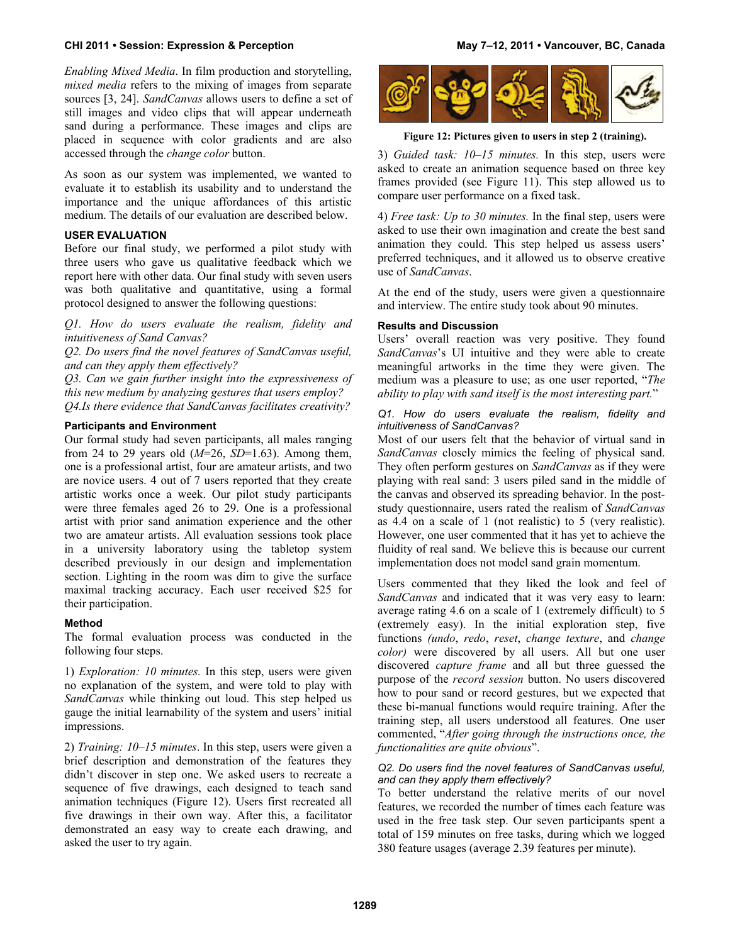*Enabling Mixed Media*. In film production and storytelling, *mixed media* refers to the mixing of images from separate sources [3, 24]. *SandCanvas* allows users to define a set of still images and video clips that will appear underneath sand during a performance. These images and clips are placed in sequence with color gradients and are also accessed through the *change color* button.

As soon as our system was implemented, we wanted to evaluate it to establish its usability and to understand the importance and the unique affordances of this artistic medium. The details of our evaluation are described below.

#### **USER EVALUATION**

Before our final study, we performed a pilot study with three users who gave us qualitative feedback which we report here with other data. Our final study with seven users was both qualitative and quantitative, using a formal protocol designed to answer the following questions:

*Q1. How do users evaluate the realism, fidelity and intuitiveness of Sand Canvas?* 

*Q2. Do users find the novel features of SandCanvas useful, and can they apply them effectively?* 

*Q3. Can we gain further insight into the expressiveness of this new medium by analyzing gestures that users employ? Q4.Is there evidence that SandCanvas facilitates creativity?* 

#### **Participants and Environment**

Our formal study had seven participants, all males ranging from 24 to 29 years old (*M*=26, *SD*=1.63). Among them, one is a professional artist, four are amateur artists, and two are novice users. 4 out of 7 users reported that they create artistic works once a week. Our pilot study participants were three females aged 26 to 29. One is a professional artist with prior sand animation experience and the other two are amateur artists. All evaluation sessions took place in a university laboratory using the tabletop system described previously in our design and implementation section. Lighting in the room was dim to give the surface maximal tracking accuracy. Each user received \$25 for their participation.

#### **Method**

The formal evaluation process was conducted in the following four steps.

1) *Exploration: 10 minutes.* In this step, users were given no explanation of the system, and were told to play with *SandCanvas* while thinking out loud. This step helped us gauge the initial learnability of the system and users' initial impressions.

2) *Training: 10–15 minutes*. In this step, users were given a brief description and demonstration of the features they didn't discover in step one. We asked users to recreate a sequence of five drawings, each designed to teach sand animation techniques (Figure 12). Users first recreated all five drawings in their own way. After this, a facilitator demonstrated an easy way to create each drawing, and asked the user to try again.



**Figure 12: Pictures given to users in step 2 (training).** 

3) *Guided task: 10–15 minutes.* In this step, users were asked to create an animation sequence based on three key frames provided (see Figure 11). This step allowed us to compare user performance on a fixed task.

4) *Free task: Up to 30 minutes.* In the final step, users were asked to use their own imagination and create the best sand animation they could. This step helped us assess users' preferred techniques, and it allowed us to observe creative use of *SandCanvas*.

At the end of the study, users were given a questionnaire and interview. The entire study took about 90 minutes.

#### **Results and Discussion**

Users' overall reaction was very positive. They found *SandCanvas*'s UI intuitive and they were able to create meaningful artworks in the time they were given. The medium was a pleasure to use; as one user reported, "*The ability to play with sand itself is the most interesting part.*"

#### *Q1. How do users evaluate the realism, fidelity and intuitiveness of SandCanvas?*

Most of our users felt that the behavior of virtual sand in *SandCanvas* closely mimics the feeling of physical sand. They often perform gestures on *SandCanvas* as if they were playing with real sand: 3 users piled sand in the middle of the canvas and observed its spreading behavior. In the poststudy questionnaire, users rated the realism of *SandCanvas* as 4.4 on a scale of 1 (not realistic) to 5 (very realistic). However, one user commented that it has yet to achieve the fluidity of real sand. We believe this is because our current implementation does not model sand grain momentum.

Users commented that they liked the look and feel of *SandCanvas* and indicated that it was very easy to learn: average rating 4.6 on a scale of 1 (extremely difficult) to 5 (extremely easy). In the initial exploration step, five functions *(undo*, *redo*, *reset*, *change texture*, and *change color)* were discovered by all users. All but one user discovered *capture frame* and all but three guessed the purpose of the *record session* button. No users discovered how to pour sand or record gestures, but we expected that these bi-manual functions would require training. After the training step, all users understood all features. One user commented, "*After going through the instructions once, the functionalities are quite obvious*".

#### *Q2. Do users find the novel features of SandCanvas useful, and can they apply them effectively?*

To better understand the relative merits of our novel features, we recorded the number of times each feature was used in the free task step. Our seven participants spent a total of 159 minutes on free tasks, during which we logged 380 feature usages (average 2.39 features per minute).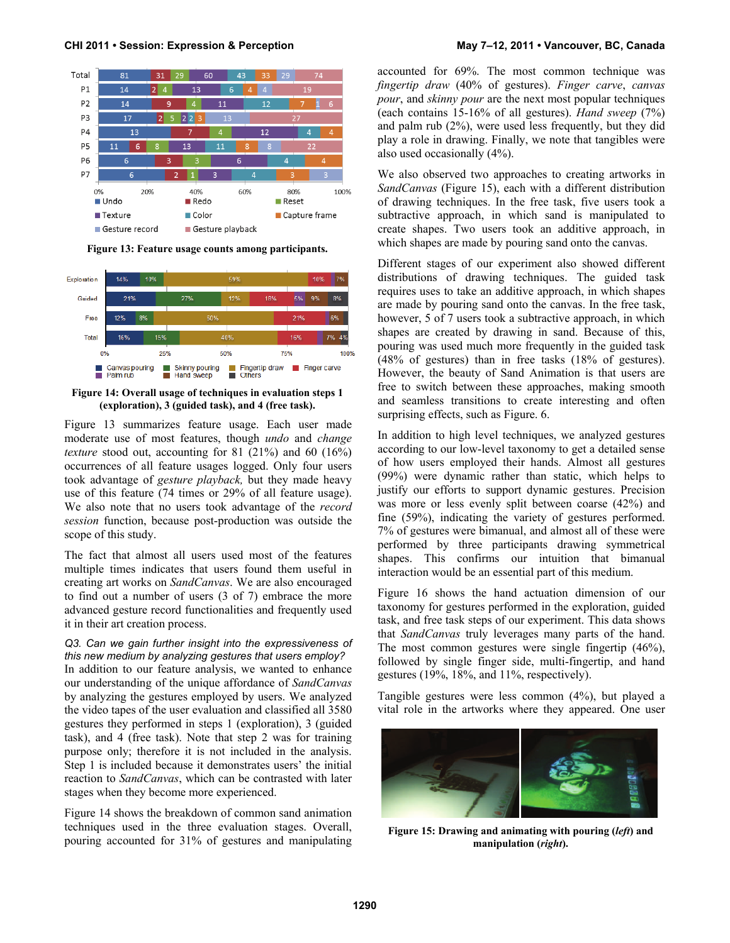

**Figure 13: Feature usage counts among participants.** 



**Figure 14: Overall usage of techniques in evaluation steps 1 (exploration), 3 (guided task), and 4 (free task).** 

Figure 13 summarizes feature usage. Each user made moderate use of most features, though *undo* and *change texture* stood out, accounting for 81 (21%) and 60 (16%) occurrences of all feature usages logged. Only four users took advantage of *gesture playback,* but they made heavy use of this feature (74 times or 29% of all feature usage). We also note that no users took advantage of the *record session* function, because post-production was outside the scope of this study.

The fact that almost all users used most of the features multiple times indicates that users found them useful in creating art works on *SandCanvas*. We are also encouraged to find out a number of users (3 of 7) embrace the more advanced gesture record functionalities and frequently used it in their art creation process.

#### *Q3. Can we gain further insight into the expressiveness of this new medium by analyzing gestures that users employ?*

In addition to our feature analysis, we wanted to enhance our understanding of the unique affordance of *SandCanvas* by analyzing the gestures employed by users. We analyzed the video tapes of the user evaluation and classified all 3580 gestures they performed in steps 1 (exploration), 3 (guided task), and 4 (free task). Note that step 2 was for training purpose only; therefore it is not included in the analysis. Step 1 is included because it demonstrates users' the initial reaction to *SandCanvas*, which can be contrasted with later stages when they become more experienced.

Figure 14 shows the breakdown of common sand animation techniques used in the three evaluation stages. Overall, pouring accounted for 31% of gestures and manipulating accounted for 69%. The most common technique was *fingertip draw* (40% of gestures). *Finger carve*, *canvas pour*, and *skinny pour* are the next most popular techniques (each contains 15-16% of all gestures). *Hand sweep* (7%) and palm rub (2%), were used less frequently, but they did play a role in drawing. Finally, we note that tangibles were also used occasionally (4%).

We also observed two approaches to creating artworks in *SandCanvas* (Figure 15), each with a different distribution of drawing techniques. In the free task, five users took a subtractive approach, in which sand is manipulated to create shapes. Two users took an additive approach, in which shapes are made by pouring sand onto the canvas.

Different stages of our experiment also showed different distributions of drawing techniques. The guided task requires uses to take an additive approach, in which shapes are made by pouring sand onto the canvas. In the free task, however, 5 of 7 users took a subtractive approach, in which shapes are created by drawing in sand. Because of this, pouring was used much more frequently in the guided task (48% of gestures) than in free tasks (18% of gestures). However, the beauty of Sand Animation is that users are free to switch between these approaches, making smooth and seamless transitions to create interesting and often surprising effects, such as Figure. 6.

In addition to high level techniques, we analyzed gestures according to our low-level taxonomy to get a detailed sense of how users employed their hands. Almost all gestures (99%) were dynamic rather than static, which helps to justify our efforts to support dynamic gestures. Precision was more or less evenly split between coarse (42%) and fine (59%), indicating the variety of gestures performed. 7% of gestures were bimanual, and almost all of these were performed by three participants drawing symmetrical shapes. This confirms our intuition that bimanual interaction would be an essential part of this medium.

Figure 16 shows the hand actuation dimension of our taxonomy for gestures performed in the exploration, guided task, and free task steps of our experiment. This data shows that *SandCanvas* truly leverages many parts of the hand. The most common gestures were single fingertip (46%), followed by single finger side, multi-fingertip, and hand gestures (19%, 18%, and 11%, respectively).

Tangible gestures were less common (4%), but played a vital role in the artworks where they appeared. One user



**Figure 15: Drawing and animating with pouring (***left***) and manipulation (***right***).**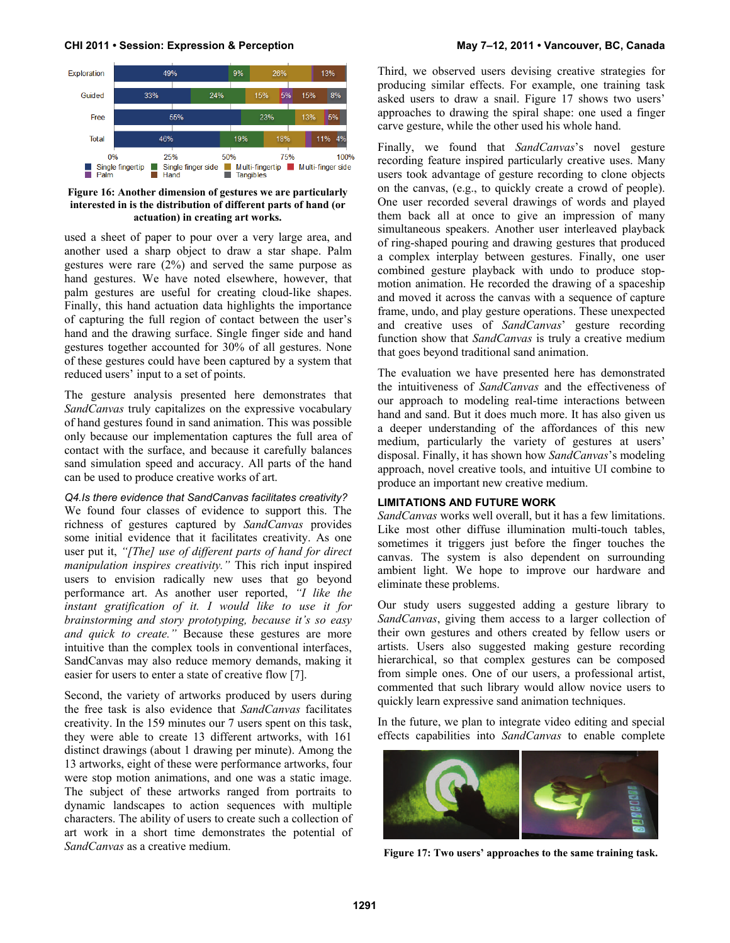

**Figure 16: Another dimension of gestures we are particularly interested in is the distribution of different parts of hand (or actuation) in creating art works.** 

used a sheet of paper to pour over a very large area, and another used a sharp object to draw a star shape. Palm gestures were rare (2%) and served the same purpose as hand gestures. We have noted elsewhere, however, that palm gestures are useful for creating cloud-like shapes. Finally, this hand actuation data highlights the importance of capturing the full region of contact between the user's hand and the drawing surface. Single finger side and hand gestures together accounted for 30% of all gestures. None of these gestures could have been captured by a system that reduced users' input to a set of points.

The gesture analysis presented here demonstrates that *SandCanvas* truly capitalizes on the expressive vocabulary of hand gestures found in sand animation. This was possible only because our implementation captures the full area of contact with the surface, and because it carefully balances sand simulation speed and accuracy. All parts of the hand can be used to produce creative works of art.

#### *Q4.Is there evidence that SandCanvas facilitates creativity?*

We found four classes of evidence to support this. The richness of gestures captured by *SandCanvas* provides some initial evidence that it facilitates creativity. As one user put it, *"[The] use of different parts of hand for direct manipulation inspires creativity."* This rich input inspired users to envision radically new uses that go beyond performance art. As another user reported, *"I like the instant gratification of it. I would like to use it for brainstorming and story prototyping, because it's so easy and quick to create."* Because these gestures are more intuitive than the complex tools in conventional interfaces, SandCanvas may also reduce memory demands, making it easier for users to enter a state of creative flow [7].

Second, the variety of artworks produced by users during the free task is also evidence that *SandCanvas* facilitates creativity. In the 159 minutes our 7 users spent on this task, they were able to create 13 different artworks, with 161 distinct drawings (about 1 drawing per minute). Among the 13 artworks, eight of these were performance artworks, four were stop motion animations, and one was a static image. The subject of these artworks ranged from portraits to dynamic landscapes to action sequences with multiple characters. The ability of users to create such a collection of art work in a short time demonstrates the potential of *SandCanvas* as a creative medium.

Third, we observed users devising creative strategies for producing similar effects. For example, one training task asked users to draw a snail. Figure 17 shows two users' approaches to drawing the spiral shape: one used a finger carve gesture, while the other used his whole hand.

Finally, we found that *SandCanvas*'s novel gesture recording feature inspired particularly creative uses. Many users took advantage of gesture recording to clone objects on the canvas, (e.g., to quickly create a crowd of people). One user recorded several drawings of words and played them back all at once to give an impression of many simultaneous speakers. Another user interleaved playback of ring-shaped pouring and drawing gestures that produced a complex interplay between gestures. Finally, one user combined gesture playback with undo to produce stopmotion animation. He recorded the drawing of a spaceship and moved it across the canvas with a sequence of capture frame, undo, and play gesture operations. These unexpected and creative uses of *SandCanvas*' gesture recording function show that *SandCanvas* is truly a creative medium that goes beyond traditional sand animation.

The evaluation we have presented here has demonstrated the intuitiveness of *SandCanvas* and the effectiveness of our approach to modeling real-time interactions between hand and sand. But it does much more. It has also given us a deeper understanding of the affordances of this new medium, particularly the variety of gestures at users' disposal. Finally, it has shown how *SandCanvas*'s modeling approach, novel creative tools, and intuitive UI combine to produce an important new creative medium.

#### **LIMITATIONS AND FUTURE WORK**

*SandCanvas* works well overall, but it has a few limitations. Like most other diffuse illumination multi-touch tables, sometimes it triggers just before the finger touches the canvas. The system is also dependent on surrounding ambient light. We hope to improve our hardware and eliminate these problems.

Our study users suggested adding a gesture library to *SandCanvas*, giving them access to a larger collection of their own gestures and others created by fellow users or artists. Users also suggested making gesture recording hierarchical, so that complex gestures can be composed from simple ones. One of our users, a professional artist, commented that such library would allow novice users to quickly learn expressive sand animation techniques.

In the future, we plan to integrate video editing and special effects capabilities into *SandCanvas* to enable complete



**Figure 17: Two users' approaches to the same training task.**